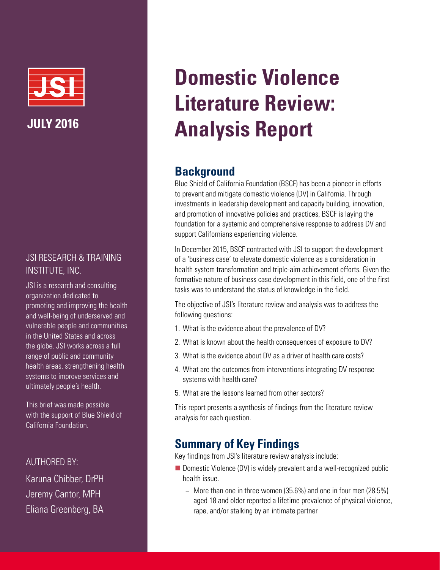

# JSI RESEARCH & TRAINING INSTITUTE, INC.

JSI is a research and consulting organization dedicated to promoting and improving the health and well-being of underserved and vulnerable people and communities in the United States and across the globe. JSI works across a full range of public and community health areas, strengthening health systems to improve services and ultimately people's health.

This brief was made possible with the support of Blue Shield of California Foundation.

## AUTHORED BY:

Karuna Chibber, DrPH Jeremy Cantor, MPH Eliana Greenberg, BA

# **Domestic Violence Literature Review: Analysis Report**

# **Background**

Blue Shield of California Foundation (BSCF) has been a pioneer in efforts to prevent and mitigate domestic violence (DV) in California. Through investments in leadership development and capacity building, innovation, and promotion of innovative policies and practices, BSCF is laying the foundation for a systemic and comprehensive response to address DV and support Californians experiencing violence.

In December 2015, BSCF contracted with JSI to support the development of a 'business case' to elevate domestic violence as a consideration in health system transformation and triple-aim achievement efforts. Given the formative nature of business case development in this field, one of the first tasks was to understand the status of knowledge in the field.

The objective of JSI's literature review and analysis was to address the following questions:

- 1. What is the evidence about the prevalence of DV?
- 2. What is known about the health consequences of exposure to DV?
- 3. What is the evidence about DV as a driver of health care costs?
- 4. What are the outcomes from interventions integrating DV response systems with health care?
- 5. What are the lessons learned from other sectors?

This report presents a synthesis of findings from the literature review analysis for each question.

# **Summary of Key Findings**

Key findings from JSI's literature review analysis include:

- Domestic Violence (DV) is widely prevalent and a well-recognized public health issue.
	- − More than one in three women (35.6%) and one in four men (28.5%) aged 18 and older reported a lifetime prevalence of physical violence, rape, and/or stalking by an intimate partner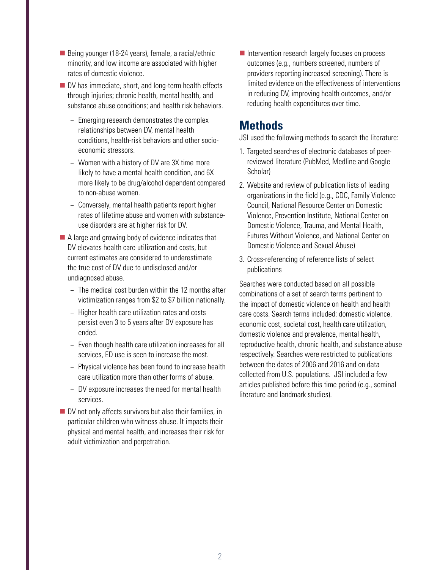- Being younger (18-24 years), female, a racial/ethnic minority, and low income are associated with higher rates of domestic violence.
- DV has immediate, short, and long-term health effects through injuries; chronic health, mental health, and substance abuse conditions; and health risk behaviors.
	- − Emerging research demonstrates the complex relationships between DV, mental health conditions, health-risk behaviors and other socioeconomic stressors.
	- − Women with a history of DV are 3X time more likely to have a mental health condition, and 6X more likely to be drug/alcohol dependent compared to non-abuse women.
	- − Conversely, mental health patients report higher rates of lifetime abuse and women with substanceuse disorders are at higher risk for DV.
- A large and growing body of evidence indicates that DV elevates health care utilization and costs, but current estimates are considered to underestimate the true cost of DV due to undisclosed and/or undiagnosed abuse.
	- − The medical cost burden within the 12 months after victimization ranges from \$2 to \$7 billion nationally.
	- − Higher health care utilization rates and costs persist even 3 to 5 years after DV exposure has ended.
	- − Even though health care utilization increases for all services, ED use is seen to increase the most.
	- − Physical violence has been found to increase health care utilization more than other forms of abuse.
	- − DV exposure increases the need for mental health services.
- $\blacksquare$  DV not only affects survivors but also their families, in particular children who witness abuse. It impacts their physical and mental health, and increases their risk for adult victimization and perpetration.

■ Intervention research largely focuses on process outcomes (e.g., numbers screened, numbers of providers reporting increased screening). There is limited evidence on the effectiveness of interventions in reducing DV, improving health outcomes, and/or reducing health expenditures over time.

# **Methods**

JSI used the following methods to search the literature:

- 1. Targeted searches of electronic databases of peerreviewed literature (PubMed, Medline and Google Scholar)
- 2. Website and review of publication lists of leading organizations in the field (e.g., CDC, Family Violence Council, National Resource Center on Domestic Violence, Prevention Institute, National Center on Domestic Violence, Trauma, and Mental Health, Futures Without Violence, and National Center on Domestic Violence and Sexual Abuse)
- 3. Cross-referencing of reference lists of select publications

Searches were conducted based on all possible combinations of a set of search terms pertinent to the impact of domestic violence on health and health care costs. Search terms included: domestic violence, economic cost, societal cost, health care utilization, domestic violence and prevalence, mental health, reproductive health, chronic health, and substance abuse respectively. Searches were restricted to publications between the dates of 2006 and 2016 and on data collected from U.S. populations. JSI included a few articles published before this time period (e.g., seminal literature and landmark studies).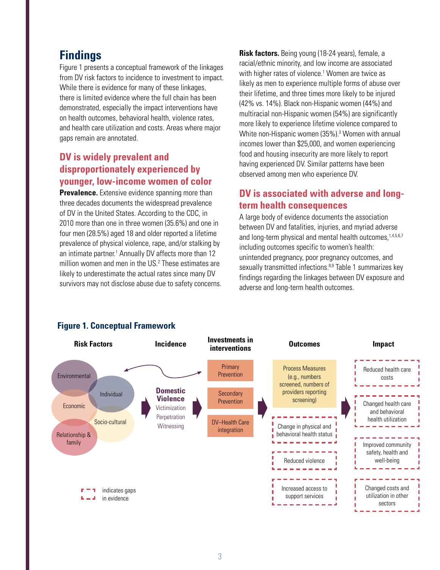# **Findings**

Figure 1 presents a conceptual framework of the linkages from DV risk factors to incidence to investment to impact. While there is evidence for many of these linkages, there is limited evidence where the full chain has been demonstrated, especially the impact interventions have on health outcomes, behavioral health, violence rates, and health care utilization and costs. Areas where major gaps remain are annotated.

## **DV is widely prevalent and disproportionately experienced by younger, low-income women of color**

**Prevalence.** Extensive evidence spanning more than three decades documents the widespread prevalence of DV in the United States. According to the CDC, in 2010 more than one in three women (35.6%) and one in four men (28.5%) aged 18 and older reported a lifetime prevalence of physical violence, rape, and/or stalking by an intimate partner.<sup>1</sup> Annually DV affects more than 12 million women and men in the US.[2](#page-8-1) These estimates are likely to underestimate the actual rates since many DV survivors may not disclose abuse due to safety concerns. **Risk factors.** Being young (18-24 years), female, a racial/ethnic minority, and low income are associated with higher rates of violence.<sup>1</sup> Women are twice as likely as men to experience multiple forms of abuse over their lifetime, and three times more likely to be injured (42% vs. 14%). Black non-Hispanic women (44%) and multiracial non-Hispanic women (54%) are significantly more likely to experience lifetime violence compared to White non-Hispanic women ([3](#page-8-2)5%).<sup>3</sup> Women with annual incomes lower than \$25,000, and women experiencing food and housing insecurity are more likely to report having experienced DV. Similar patterns have been observed among men who experience DV.

## **DV is associated with adverse and longterm health consequences**

A large body of evidence documents the association between DV and fatalities, injuries, and myriad adverse and long-term physical and mental health outcomes, 1,[4](#page-8-3),[5,](#page-8-4)[6](#page-8-5)[,7](#page-8-6) including outcomes specific to women's health: unintended pregnancy, poor pregnancy outcomes, and sexually transmitted infections.<sup>[8,](#page-8-7)9</sup> Table 1 summarizes key findings regarding the linkages between DV exposure and adverse and long-term health outcomes.



## **Figure 1. Conceptual Framework**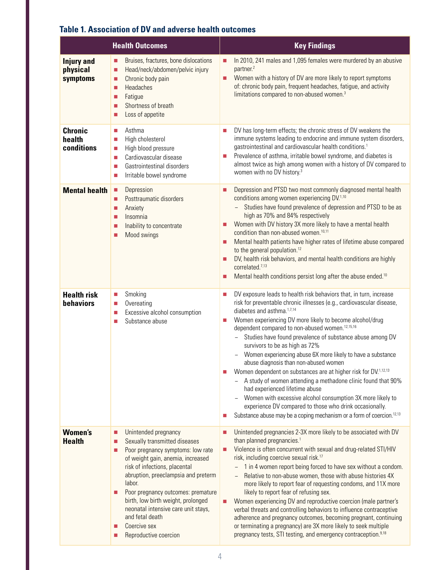|                                           | <b>Health Outcomes</b>                                                                                                                                                                                                                                                                                                                                                                                                              | <b>Key Findings</b>                                                                                                                                                                                                                                                                                                                                                                                                                                                                                                                                                                                                                                                                                                                                                                                                                                                                                                                                      |
|-------------------------------------------|-------------------------------------------------------------------------------------------------------------------------------------------------------------------------------------------------------------------------------------------------------------------------------------------------------------------------------------------------------------------------------------------------------------------------------------|----------------------------------------------------------------------------------------------------------------------------------------------------------------------------------------------------------------------------------------------------------------------------------------------------------------------------------------------------------------------------------------------------------------------------------------------------------------------------------------------------------------------------------------------------------------------------------------------------------------------------------------------------------------------------------------------------------------------------------------------------------------------------------------------------------------------------------------------------------------------------------------------------------------------------------------------------------|
| <b>Injury and</b><br>physical<br>symptoms | Bruises, fractures, bone dislocations<br>$\mathbb{Z}$<br>Head/neck/abdomen/pelvic injury<br>×.<br>Chronic body pain<br>×.<br><b>Headaches</b><br>$\mathbb{Z}$<br>Fatigue<br>$\mathbb{Z}$<br>Shortness of breath<br>П<br>Loss of appetite<br>×.                                                                                                                                                                                      | In 2010, 241 males and 1,095 females were murdered by an abusive<br>Ξ<br>partner. <sup>2</sup><br>Women with a history of DV are more likely to report symptoms<br>$\blacksquare$<br>of: chronic body pain, frequent headaches, fatigue, and activity<br>limitations compared to non-abused women. <sup>3</sup>                                                                                                                                                                                                                                                                                                                                                                                                                                                                                                                                                                                                                                          |
| <b>Chronic</b><br>health<br>conditions    | Asthma<br>L.<br>High cholesterol<br>$\mathcal{L}_{\mathcal{A}}$<br>High blood pressure<br>$\mathcal{L}_{\mathcal{A}}$<br>Cardiovascular disease<br>$\mathcal{L}_{\mathcal{A}}$<br>Gastrointestinal disorders<br>×.<br>Irritable bowel syndrome<br>$\mathcal{L}_{\mathcal{A}}$                                                                                                                                                       | DV has long-term effects; the chronic stress of DV weakens the<br>Π<br>immune systems leading to endocrine and immune system disorders,<br>gastrointestinal and cardiovascular health conditions. <sup>1</sup><br>Prevalence of asthma, irritable bowel syndrome, and diabetes is<br>$\blacksquare$<br>almost twice as high among women with a history of DV compared to<br>women with no DV history. <sup>3</sup>                                                                                                                                                                                                                                                                                                                                                                                                                                                                                                                                       |
| <b>Mental health</b>                      | Depression<br>п<br>Posttraumatic disorders<br>ш<br>Anxiety<br>×.<br>Insomnia<br>$\mathbb{Z}$<br>Inability to concentrate<br>×.<br>Mood swings<br>L.                                                                                                                                                                                                                                                                                 | Depression and PTSD two most commonly diagnosed mental health<br>▉<br>conditions among women experiencing DV.1,10<br>Studies have found prevalence of depression and PTSD to be as<br>$\equiv$<br>high as 70% and 84% respectively<br>Women with DV history 3X more likely to have a mental health<br>$\blacksquare$<br>condition than non-abused women. <sup>10,11</sup><br>Mental health patients have higher rates of lifetime abuse compared<br>▉<br>to the general population. <sup>12</sup><br>DV, health risk behaviors, and mental health conditions are highly<br>Ξ<br>correlated. <sup>7,13</sup><br>Mental health conditions persist long after the abuse ended. <sup>10</sup><br>▉                                                                                                                                                                                                                                                           |
| <b>Health risk</b><br>behaviors           | Smoking<br>b.<br>Overeating<br>$\mathcal{L}_{\mathcal{A}}$<br>Excessive alcohol consumption<br>$\mathcal{L}_{\mathcal{A}}$<br>Substance abuse<br>П                                                                                                                                                                                                                                                                                  | DV exposure leads to health risk behaviors that, in turn, increase<br>Π<br>risk for preventable chronic illnesses (e.g., cardiovascular disease,<br>diabetes and asthma. <sup>1,7,14</sup><br>Women experiencing DV more likely to become alcohol/drug<br>a,<br>dependent compared to non-abused women. <sup>12,15,16</sup><br>Studies have found prevalence of substance abuse among DV<br>$\equiv$<br>survivors to be as high as 72%<br>Women experiencing abuse 6X more likely to have a substance<br>abuse diagnosis than non-abused women<br>Women dependent on substances are at higher risk for DV.1,12,13<br>П<br>A study of women attending a methadone clinic found that 90%<br>had experienced lifetime abuse<br>Women with excessive alcohol consumption 3X more likely to<br>experience DV compared to those who drink occasionally.<br>Substance abuse may be a coping mechanism or a form of coercion. <sup>12,13</sup><br>$\blacksquare$ |
| <b>Women's</b><br><b>Health</b>           | Unintended pregnancy<br>×.<br>Sexually transmitted diseases<br>L.<br>Poor pregnancy symptoms: low rate<br>×.<br>of weight gain, anemia, increased<br>risk of infections, placental<br>abruption, preeclampsia and preterm<br>labor.<br>Poor pregnancy outcomes: premature<br>L.<br>birth, low birth weight, prolonged<br>neonatal intensive care unit stays,<br>and fetal death<br>Coercive sex<br>П<br>Reproductive coercion<br>L. | Unintended pregnancies 2-3X more likely to be associated with DV<br>▉<br>than planned pregnancies. <sup>1</sup><br>Violence is often concurrent with sexual and drug-related STI/HIV<br>П<br>risk, including coercive sexual risk. <sup>17</sup><br>1 in 4 women report being forced to have sex without a condom.<br>Relative to non-abuse women, those with abuse histories 4X<br>more likely to report fear of requesting condoms, and 11X more<br>likely to report fear of refusing sex.<br>Women experiencing DV and reproductive coercion (male partner's<br>▉<br>verbal threats and controlling behaviors to influence contraceptive<br>adherence and pregnancy outcomes, becoming pregnant, continuing<br>or terminating a pregnancy) are 3X more likely to seek multiple<br>pregnancy tests, STI testing, and emergency contraception. <sup>9,18</sup>                                                                                          |

## **Table 1. Association of DV and adverse health outcomes**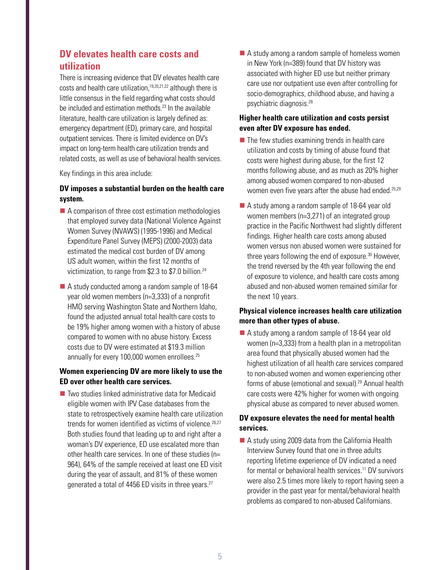## **DV elevates health care costs and utilization**

There is increasing evidence that DV elevates health care costs and health care utilization,<sup>19,[20,](#page-8-19)[21,](#page-8-20)[22](#page-8-21)</sup> although there is little consensus in the field regarding what costs should be included and estimation methods.<sup>[23](#page-8-22)</sup> In the available literature, health care utilization is largely defined as: emergency department (ED), primary care, and hospital outpatient services. There is limited evidence on DV's impact on long-term health care utilization trends and related costs, as well as use of behavioral health services.

Key findings in this area include:

#### **DV imposes a substantial burden on the health care system.**

- A comparison of three cost estimation methodologies that employed survey data (National Violence Against Women Survey (NVAWS) (1995-1996) and Medical Expenditure Panel Survey (MEPS) (2000-2003) data estimated the medical cost burden of DV among US adult women, within the first 12 months of victimization, to range from \$2.3 to \$7.0 billion.<sup>24</sup>
- A study conducted among a random sample of 18-64 year old women members (n=3,333) of a nonprofit HMO serving Washington State and Northern Idaho, found the adjusted annual total health care costs to be 19% higher among women with a history of abuse compared to women with no abuse history. Excess costs due to DV were estimated at \$19.3 million annually for every 100,000 women enrollees.<sup>25</sup>

#### **Women experiencing DV are more likely to use the ED over other health care services.**

 $\blacksquare$  Two studies linked administrative data for Medicaid eligible women with IPV Case databases from the state to retrospectively examine health care utilization trends for women identified as victims of violence.<sup>[26,](#page-9-2)[27](#page-9-3)</sup> Both studies found that leading up to and right after a woman's DV experience, ED use escalated more than other health care services. In one of these studies (n= 964), 64% of the sample received at least one ED visit during the year of assault, and 81% of these women generated a total of 4456 ED visits in three years.<sup>[27](#page-9-3)</sup>

A study among a random sample of homeless women in New York (n=389) found that DV history was associated with higher ED use but neither primary care use nor outpatient use even after controlling for socio-demographics, childhood abuse, and having a psychiatric diagnosis.[28](#page-9-4)

#### **Higher health care utilization and costs persist even after DV exposure has ended.**

- $\blacksquare$  The few studies examining trends in health care utilization and costs by timing of abuse found that costs were highest during abuse, for the first 12 months following abuse, and as much as 20% higher among abused women compared to non-abused women even five years after the abuse had ended.<sup>25,[29](#page-9-5)</sup>
- A study among a random sample of 18-64 year old women members (n=3,271) of an integrated group practice in the Pacific Northwest had slightly different findings. Higher health care costs among abused women versus non abused women were sustained for three years following the end of exposure.<sup>30</sup> However, the trend reversed by the 4th year following the end of exposure to violence, and health care costs among abused and non-abused women remained similar for the next 10 years.

#### **Physical violence increases health care utilization more than other types of abuse.**

A study among a random sample of 18-64 year old women (n=3,333) from a health plan in a metropolitan area found that physically abused women had the highest utilization of all health care services compared to non-abused women and women experiencing other forms of abuse (emotional and sexual).<sup>29</sup> Annual health care costs were 42% higher for women with ongoing physical abuse as compared to never abused women.

#### **DV exposure elevates the need for mental health services.**

A study using 2009 data from the California Health Interview Survey found that one in three adults reporting lifetime experience of DV indicated a need for mental or behavioral health services.<sup>11</sup> DV survivors were also 2.5 times more likely to report having seen a provider in the past year for mental/behavioral health problems as compared to non-abused Californians.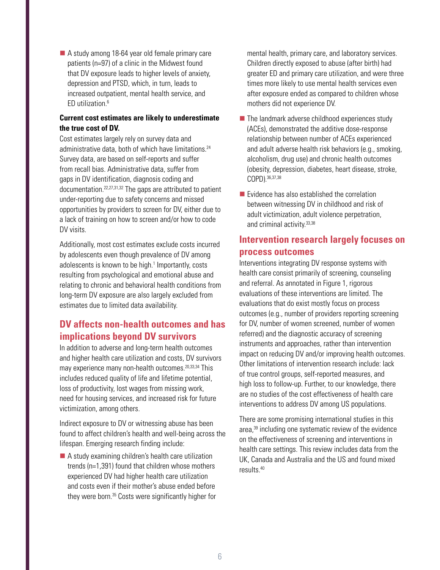A study among 18-64 year old female primary care patients (n=97) of a clinic in the Midwest found that DV exposure leads to higher levels of anxiety, depression and PTSD, which, in turn, leads to increased outpatient, mental health service, and ED utilization.[6](#page-8-5)

#### **Current cost estimates are likely to underestimate the true cost of DV.**

Cost estimates largely rely on survey data and administrative data, both of which have limitations.<sup>[24](#page-9-0)</sup> Survey data, are based on self-reports and suffer from recall bias. Administrative data, suffer from gaps in DV identification, diagnosis coding and documentation.[22](#page-8-21),[27](#page-9-3),[31,](#page-9-7)[32](#page-9-8) The gaps are attributed to patient under-reporting due to safety concerns and missed opportunities by providers to screen for DV, either due to a lack of training on how to screen and/or how to code DV visits.

Additionally, most cost estimates exclude costs incurred by adolescents even though prevalence of DV among adolescents is known to be high.<sup>1</sup> Importantly, costs resulting from psychological and emotional abuse and relating to chronic and behavioral health conditions from long-term DV exposure are also largely excluded from estimates due to limited data availability.

## **DV affects non-health outcomes and has implications beyond DV survivors**

In addition to adverse and long-term health outcomes and higher health care utilization and costs, DV survivors may experience many non-health outcomes.<sup>[20](#page-8-19),[33](#page-9-9),34</sup> This includes reduced quality of life and lifetime potential, loss of productivity, lost wages from missing work, need for housing services, and increased risk for future victimization, among others.

Indirect exposure to DV or witnessing abuse has been found to affect children's health and well-being across the lifespan. Emerging research finding include:

■ A study examining children's health care utilization trends (n=1,391) found that children whose mothers experienced DV had higher health care utilization and costs even if their mother's abuse ended before they were born[.35](#page-9-11) Costs were significantly higher for

mental health, primary care, and laboratory services. Children directly exposed to abuse (after birth) had greater ED and primary care utilization, and were three times more likely to use mental health services even after exposure ended as compared to children whose mothers did not experience DV.

- $\blacksquare$  The landmark adverse childhood experiences study (ACEs), demonstrated the additive dose-response relationship between number of ACEs experienced and adult adverse health risk behaviors (e.g., smoking, alcoholism, drug use) and chronic health outcomes (obesity, depression, diabetes, heart disease, stroke, COPD).[36](#page-9-12),[37](#page-9-13),[38](#page-9-14)
- $\blacksquare$  Evidence has also established the correlation between witnessing DV in childhood and risk of adult victimization, adult violence perpetration, and criminal activity[.33,](#page-9-9)[38](#page-9-14)

## **Intervention research largely focuses on process outcomes**

Interventions integrating DV response systems with health care consist primarily of screening, counseling and referral. As annotated in Figure 1, rigorous evaluations of these interventions are limited. The evaluations that do exist mostly focus on process outcomes (e.g., number of providers reporting screening for DV, number of women screened, number of women referred) and the diagnostic accuracy of screening instruments and approaches, rather than intervention impact on reducing DV and/or improving health outcomes. Other limitations of intervention research include: lack of true control groups, self-reported measures, and high loss to follow-up. Further, to our knowledge, there are no studies of the cost effectiveness of health care interventions to address DV among US populations.

There are some promising international studies in this area[,39](#page-9-15) including one systematic review of the evidence on the effectiveness of screening and interventions in health care settings. This review includes data from the UK, Canada and Australia and the US and found mixed results[.40](#page-9-16)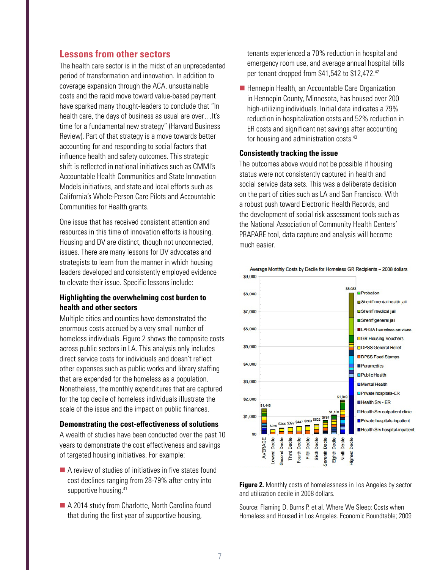## **Lessons from other sectors**

The health care sector is in the midst of an unprecedented period of transformation and innovation. In addition to coverage expansion through the ACA, unsustainable costs and the rapid move toward value-based payment have sparked many thought-leaders to conclude that "In health care, the days of business as usual are over... It's time for a fundamental new strategy" (Harvard Business Review). Part of that strategy is a move towards better accounting for and responding to social factors that influence health and safety outcomes. This strategic shift is reflected in national initiatives such as CMMI's Accountable Health Communities and State Innovation Models initiatives, and state and local efforts such as California's Whole-Person Care Pilots and Accountable Communities for Health grants.

One issue that has received consistent attention and resources in this time of innovation efforts is housing. Housing and DV are distinct, though not unconnected, issues. There are many lessons for DV advocates and strategists to learn from the manner in which housing leaders developed and consistently employed evidence to elevate their issue. Specific lessons include:

#### **Highlighting the overwhelming cost burden to health and other sectors**

Multiple cities and counties have demonstrated the enormous costs accrued by a very small number of homeless individuals. Figure 2 shows the composite costs across public sectors in LA. This analysis only includes direct service costs for individuals and doesn't reflect other expenses such as public works and library staffing that are expended for the homeless as a population. Nonetheless, the monthly expenditures that are captured for the top decile of homeless individuals illustrate the scale of the issue and the impact on public finances.

#### **Demonstrating the cost-effectiveness of solutions**

A wealth of studies have been conducted over the past 10 years to demonstrate the cost effectiveness and savings of targeted housing initiatives. For example:

- A review of studies of initiatives in five states found cost declines ranging from 28-79% after entry into supportive housing.<sup>[41](#page-9-17)</sup>
- A 2014 study from Charlotte, North Carolina found that during the first year of supportive housing,

tenants experienced a 70% reduction in hospital and emergency room use, and average annual hospital bills per tenant dropped from \$41,5[42](#page-9-18) to \$12,472.42

**Hennepin Health, an Accountable Care Organization** in Hennepin County, Minnesota, has housed over 200 high-utilizing individuals. Initial data indicates a 79% reduction in hospitalization costs and 52% reduction in ER costs and significant net savings after accounting for housing and administration costs.<sup>43</sup>

#### **Consistently tracking the issue**

The outcomes above would not be possible if housing status were not consistently captured in health and social service data sets. This was a deliberate decision on the part of cities such as LA and San Francisco. With a robust push toward Electronic Health Records, and the development of social risk assessment tools such as the National Association of Community Health Centers' PRAPARE tool, data capture and analysis will become much easier.



**Figure 2.** Monthly costs of homelessness in Los Angeles by sector and utilization decile in 2008 dollars.

Source: Flaming D, Burns P, et al. Where We Sleep: Costs when Homeless and Housed in Los Angeles. Economic Roundtable; 2009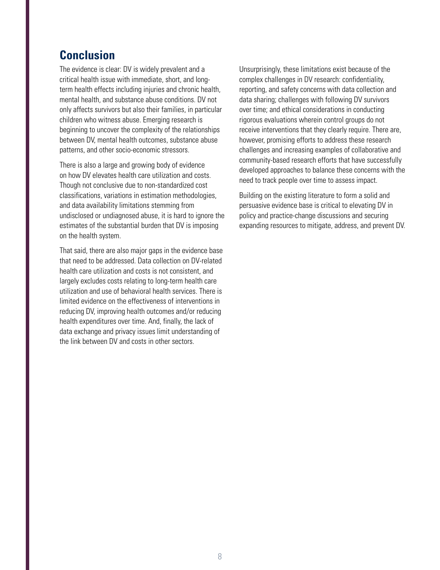# **Conclusion**

The evidence is clear: DV is widely prevalent and a critical health issue with immediate, short, and longterm health effects including injuries and chronic health, mental health, and substance abuse conditions. DV not only affects survivors but also their families, in particular children who witness abuse. Emerging research is beginning to uncover the complexity of the relationships between DV, mental health outcomes, substance abuse patterns, and other socio-economic stressors.

There is also a large and growing body of evidence on how DV elevates health care utilization and costs. Though not conclusive due to non-standardized cost classifications, variations in estimation methodologies, and data availability limitations stemming from undisclosed or undiagnosed abuse, it is hard to ignore the estimates of the substantial burden that DV is imposing on the health system.

That said, there are also major gaps in the evidence base that need to be addressed. Data collection on DV-related health care utilization and costs is not consistent, and largely excludes costs relating to long-term health care utilization and use of behavioral health services. There is limited evidence on the effectiveness of interventions in reducing DV, improving health outcomes and/or reducing health expenditures over time. And, finally, the lack of data exchange and privacy issues limit understanding of the link between DV and costs in other sectors.

Unsurprisingly, these limitations exist because of the complex challenges in DV research: confidentiality, reporting, and safety concerns with data collection and data sharing; challenges with following DV survivors over time; and ethical considerations in conducting rigorous evaluations wherein control groups do not receive interventions that they clearly require. There are, however, promising efforts to address these research challenges and increasing examples of collaborative and community-based research efforts that have successfully developed approaches to balance these concerns with the need to track people over time to assess impact.

Building on the existing literature to form a solid and persuasive evidence base is critical to elevating DV in policy and practice-change discussions and securing expanding resources to mitigate, address, and prevent DV.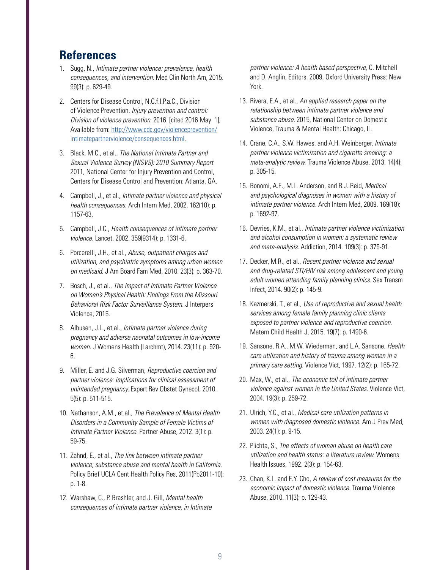# **References**

- <span id="page-8-0"></span>1. Sugg, N., *Intimate partner violence: prevalence, health consequences, and intervention.* Med Clin North Am, 2015. 99(3): p. 629-49.
- <span id="page-8-1"></span>2. Centers for Disease Control, N.C.f.I.P.a.C., Division of Violence Prevention. *Injury prevention and control: Division of violence prevention.* 2016 [cited 2016 May 1]; Available from: [http://www.cdc.gov/violenceprevention/](http://www.cdc.gov/violenceprevention/intimatepartnerviolence/consequences.html) [intimatepartnerviolence/consequences.html.](http://www.cdc.gov/violenceprevention/intimatepartnerviolence/consequences.html)
- <span id="page-8-2"></span>3. Black, M.C., et al., *The National Intimate Partner and Sexual Violence Survey (NISVS): 2010 Summary Report* 2011, National Center for Injury Prevention and Control, Centers for Disease Control and Prevention: Atlanta, GA.
- <span id="page-8-3"></span>4. Campbell, J., et al., *Intimate partner violence and physical health consequences.* Arch Intern Med, 2002. 162(10): p. 1157-63.
- <span id="page-8-4"></span>5. Campbell, J.C., *Health consequences of intimate partner violence.* Lancet, 2002. 359(9314): p. 1331-6.
- <span id="page-8-5"></span>6. Porcerelli, J.H., et al., *Abuse, outpatient charges and utilization, and psychiatric symptoms among urban women on medicaid.* J Am Board Fam Med, 2010. 23(3): p. 363-70.
- <span id="page-8-6"></span>7. Bosch, J., et al., *The Impact of Intimate Partner Violence on Women's Physical Health: Findings From the Missouri Behavioral Risk Factor Surveillance System.* J Interpers Violence, 2015.
- <span id="page-8-7"></span>8. Alhusen, J.L., et al., *Intimate partner violence during pregnancy and adverse neonatal outcomes in low-income women.* J Womens Health (Larchmt), 2014. 23(11): p. 920- 6.
- <span id="page-8-8"></span>9. Miller, E. and J.G. Silverman, *Reproductive coercion and partner violence: implications for clinical assessment of unintended pregnancy.* Expert Rev Obstet Gynecol, 2010. 5(5): p. 511-515.
- <span id="page-8-9"></span>10. Nathanson, A.M., et al., *The Prevalence of Mental Health Disorders in a Community Sample of Female Victims of Intimate Partner Violence.* Partner Abuse, 2012. 3(1): p. 59-75.
- <span id="page-8-10"></span>11. Zahnd, E., et al., *The link between intimate partner violence, substance abuse and mental health in California.*  Policy Brief UCLA Cent Health Policy Res, 2011(Pb2011-10): p. 1-8.
- <span id="page-8-11"></span>12. Warshaw, C., P. Brashler, and J. Gill, *Mental health consequences of intimate partner violence, in Intimate*

*partner violence: A health based perspective,* C. Mitchell and D. Anglin, Editors. 2009, Oxford University Press: New York.

- <span id="page-8-12"></span>13. Rivera, E.A., et al., *An applied research paper on the relationship between intimate partner violence and substance abuse.* 2015, National Center on Domestic Violence, Trauma & Mental Health: Chicago, IL.
- <span id="page-8-13"></span>14. Crane, C.A., S.W. Hawes, and A.H. Weinberger, *Intimate partner violence victimization and cigarette smoking: a meta-analytic review.* Trauma Violence Abuse, 2013. 14(4): p. 305-15.
- <span id="page-8-14"></span>15. Bonomi, A.E., M.L. Anderson, and R.J. Reid, *Medical and psychological diagnoses in women with a history of intimate partner violence.* Arch Intern Med, 2009. 169(18): p. 1692-97.
- <span id="page-8-15"></span>16. Devries, K.M., et al., *Intimate partner violence victimization and alcohol consumption in women: a systematic review and meta-analysis.* Addiction, 2014. 109(3): p. 379-91.
- <span id="page-8-16"></span>17. Decker, M.R., et al., *Recent partner violence and sexual and drug-related STI/HIV risk among adolescent and young adult women attending family planning clinics.* Sex Transm Infect, 2014. 90(2): p. 145-9.
- <span id="page-8-17"></span>18. Kazmerski, T., et al., *Use of reproductive and sexual health services among female family planning clinic clients exposed to partner violence and reproductive coercion.*  Matern Child Health J, 2015. 19(7): p. 1490-6.
- <span id="page-8-18"></span>19. Sansone, R.A., M.W. Wiederman, and L.A. Sansone, *Health care utilization and history of trauma among women in a primary care setting.* Violence Vict, 1997. 12(2): p. 165-72.
- <span id="page-8-19"></span>20. Max, W., et al., *The economic toll of intimate partner violence against women in the United States.* Violence Vict, 2004. 19(3): p. 259-72.
- <span id="page-8-20"></span>21. Ulrich, Y.C., et al., *Medical care utilization patterns in women with diagnosed domestic violence.* Am J Prev Med, 2003. 24(1): p. 9-15.
- <span id="page-8-21"></span>22. Plichta, S., *The effects of woman abuse on health care utilization and health status: a literature review.* Womens Health Issues, 1992. 2(3): p. 154-63.
- <span id="page-8-22"></span>23. Chan, K.L. and E.Y. Cho, *A review of cost measures for the economic impact of domestic violence.* Trauma Violence Abuse, 2010. 11(3): p. 129-43.